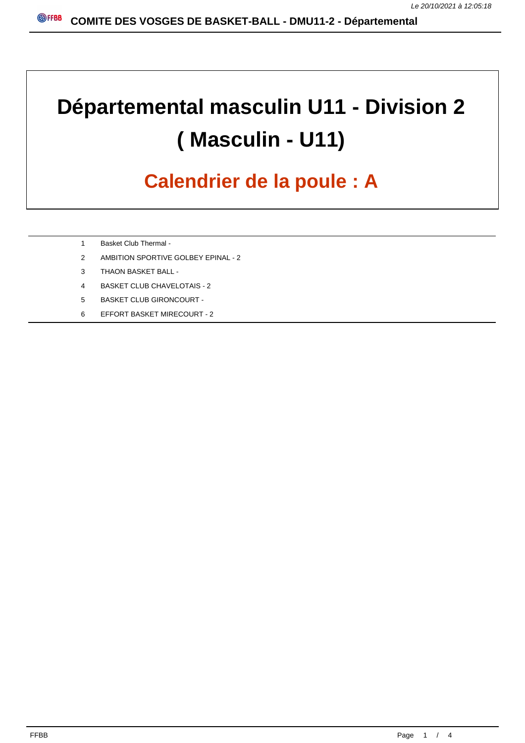# **Départemental masculin U11 - Division 2 ( Masculin - U11)**

## **Calendrier de la poule : A**

- 1 Basket Club Thermal -
- 2 AMBITION SPORTIVE GOLBEY EPINAL 2
- 3 THAON BASKET BALL -
- 4 BASKET CLUB CHAVELOTAIS 2
- 5 BASKET CLUB GIRONCOURT -
- 6 EFFORT BASKET MIRECOURT 2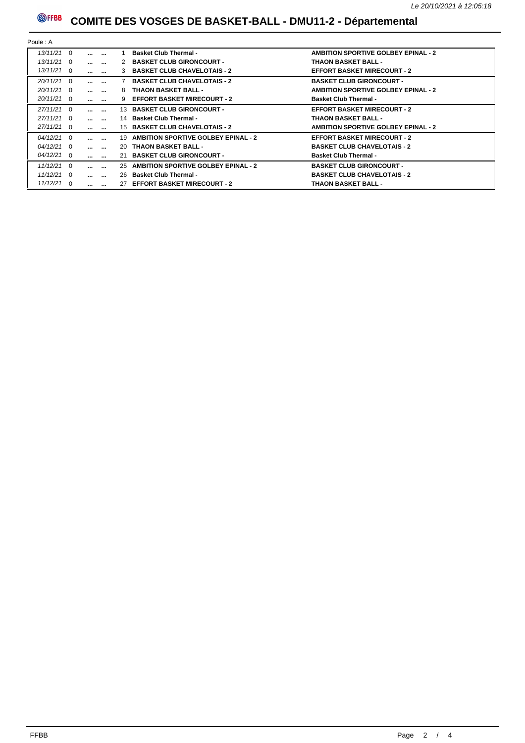### **@FFBB** COMITE DES VOSGES DE BASKET-BALL - DMU11-2 - Départemental

| Poule: A     |  |                   |                          |    |                                            |                                            |  |  |
|--------------|--|-------------------|--------------------------|----|--------------------------------------------|--------------------------------------------|--|--|
| $13/11/21$ 0 |  | $\cdots$          | $\cdots$                 |    | <b>Basket Club Thermal -</b>               | <b>AMBITION SPORTIVE GOLBEY EPINAL - 2</b> |  |  |
| $13/11/21$ 0 |  | $\cdots$          | $\sim$                   |    | 2 BASKET CLUB GIRONCOURT -                 | <b>THAON BASKET BALL -</b>                 |  |  |
| $13/11/21$ 0 |  |                   | $\cdots$ $\cdots$        | 3  | <b>BASKET CLUB CHAVELOTAIS - 2</b>         | <b>EFFORT BASKET MIRECOURT - 2</b>         |  |  |
| $20/11/21$ 0 |  | $\cdots$          | $\cdots$                 |    | <b>BASKET CLUB CHAVELOTAIS - 2</b>         | <b>BASKET CLUB GIRONCOURT -</b>            |  |  |
| $20/11/21$ 0 |  | $\cdots$ $\cdots$ |                          | 8  | <b>THAON BASKET BALL -</b>                 | <b>AMBITION SPORTIVE GOLBEY EPINAL - 2</b> |  |  |
| $20/11/21$ 0 |  | $\cdots$ $\cdots$ |                          |    | 9 EFFORT BASKET MIRECOURT - 2              | <b>Basket Club Thermal -</b>               |  |  |
| $27/11/21$ 0 |  | $\cdots$          | $\cdots$                 |    | 13 BASKET CLUB GIRONCOURT -                | <b>EFFORT BASKET MIRECOURT - 2</b>         |  |  |
| $27/11/21$ 0 |  |                   | $\cdots$ $\cdots$        |    | 14 Basket Club Thermal -                   | <b>THAON BASKET BALL -</b>                 |  |  |
| 27/11/21 0   |  | $\cdots$ $\cdots$ |                          |    | 15 BASKET CLUB CHAVELOTAIS - 2             | <b>AMBITION SPORTIVE GOLBEY EPINAL - 2</b> |  |  |
| $04/12/21$ 0 |  | $\cdots$          | $\overline{\phantom{a}}$ | 19 | <b>AMBITION SPORTIVE GOLBEY EPINAL - 2</b> | <b>EFFORT BASKET MIRECOURT - 2</b>         |  |  |
| $04/12/21$ 0 |  | $\cdots$ $\cdots$ |                          |    | 20 THAON BASKET BALL -                     | <b>BASKET CLUB CHAVELOTAIS - 2</b>         |  |  |
| $04/12/21$ 0 |  |                   | $\cdots$ $\cdots$        |    | 21 BASKET CLUB GIRONCOURT -                | <b>Basket Club Thermal -</b>               |  |  |
| $11/12/21$ 0 |  | $\cdots$          | $\cdots$                 | 25 | <b>AMBITION SPORTIVE GOLBEY EPINAL - 2</b> | <b>BASKET CLUB GIRONCOURT -</b>            |  |  |
| $11/12/21$ 0 |  |                   | $\cdots$ $\cdots$        |    | 26 Basket Club Thermal -                   | <b>BASKET CLUB CHAVELOTAIS - 2</b>         |  |  |
| $11/12/21$ 0 |  |                   | $\cdots$ $\cdots$        |    | 27 EFFORT BASKET MIRECOURT - 2             | <b>THAON BASKET BALL -</b>                 |  |  |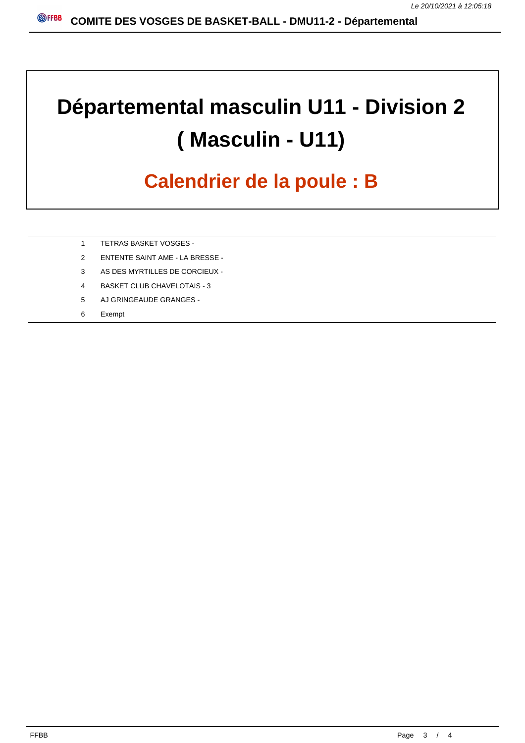## **Départemental masculin U11 - Division 2 ( Masculin - U11)**

### **Calendrier de la poule : B**

- 1 TETRAS BASKET VOSGES -
- 2 ENTENTE SAINT AME LA BRESSE -
- 3 AS DES MYRTILLES DE CORCIEUX -
- 4 BASKET CLUB CHAVELOTAIS 3
- 5 AJ GRINGEAUDE GRANGES -
- 6 Exempt